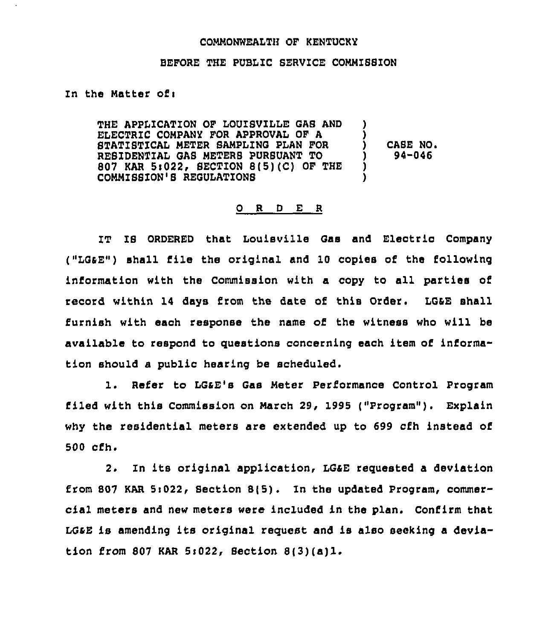## COMMONWEALTH OF KENTUCKY

## BEFORE THE PUBLIC SERVICE COHHIBBZON

In the Matter of:

THE APPLICATION OF LOUISVILLE GAB AND ELECTRIC COMPANY FOR APPROVAL OF A STATISTICAL METER SAMPLING PLAN FOR REBZDENTIAL GAS HETERB PURSUANT TO 807 KAR 5:022, SECTION 8(5)(C) OF THE COMMISSION'S REGULATIONS CASE NO. 94-046

## O R D E R

1T IS ORDERED that louisville Gas and Eleotric Company ("LGaE") shall file the original and 10 copies of the following information with the Commission with a copy to all parties of record within 14 days from the date of this Order. LG&E shall furnish with each response the name of the witness who will be available to respond to questions concerning each item of information should a public hearing be scheduled.

1. Refer to LGaE's Gas Heter Performance Control Program filed with this Commission on March 29, <sup>1995</sup> ("Program" ). Explain why the residential meters are extended up to 699 cfh instead of 500 cfh.

2. Zn its original application, LGaE reguested <sup>a</sup> deviation from 807 KAR Si022, Section S(5). In the updated Program, commercial meters and new meters were included in the plan. Confirm that LGsE is amending its original request and is also seating <sup>a</sup> deviation from 807 KAR 5s022, Section 8(3)(a)1.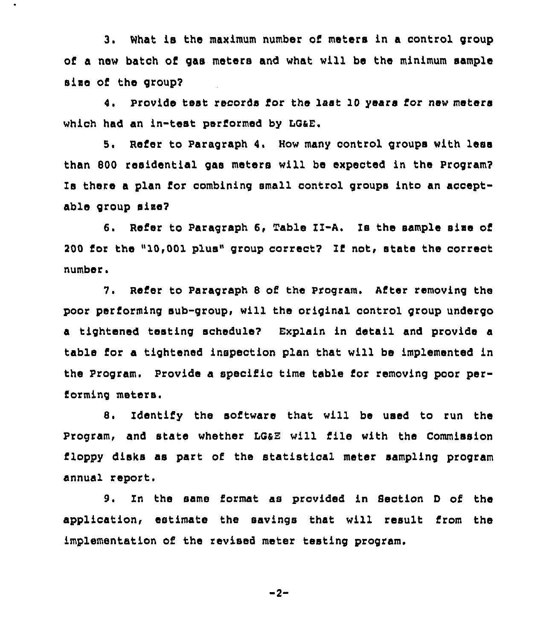3. What is the maximum number of meters in a control group of a new batch of gaa meters and what will be the minimum sample size of the group?

4. Provide test records for the last 10 years for new meters which had an in-test performed by LQaE.

5. Refer to Paragraph 4. How many control groups with less than 800 residential gas meters will be expected in the Program? Is there a plan for combining small control groups into an acceptable group siss?

6. Refer to Paragraph 6, Table II-A. Is the sample size of 200 for the "10,001 plus" group correct? If not, state the correct number.

7. Refer to Paragraph 8 of the Program. After removing the poor performing sub-group, will the original control group undergo a tightened testing schedule? Explain in detail and provide a table for a tightened inspection plan that will be implemented in the Program. Provide a specific time table for removing poor performing meters.

Identify the software that will be used to run the 8. Program, and state whether LQaE will file with the Commission floppy disks as part of the statistical meter sampling program annual report.

9. In the same format as provided in Section <sup>D</sup> of the application, estimate the savings that will result from the implementation of the revised meter testing program.

$$
-2 -
$$